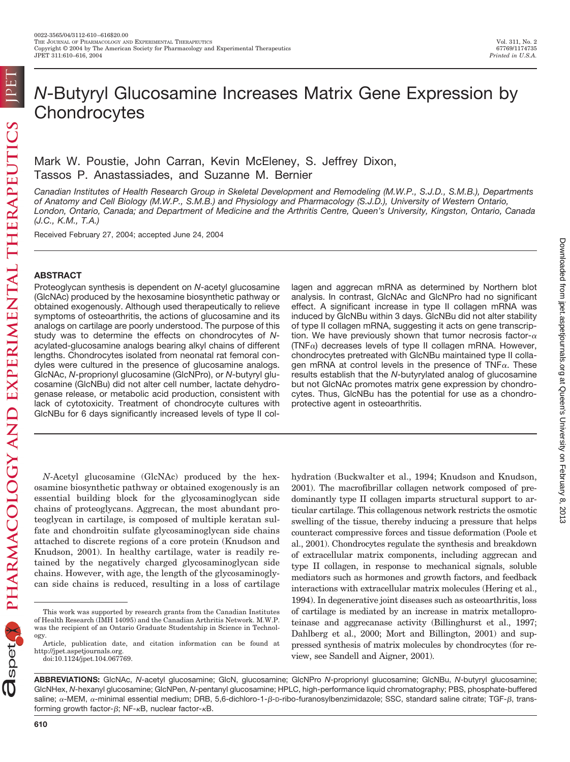Downloaded from [jpet.aspetjournals.org](http://jpet.aspetjournals.org/) at Queen's University on February 8, 2013

Downloaded from ipet.aspetjournals.org at Queen's University on February 8, 2013

# *N*-Butyryl Glucosamine Increases Matrix Gene Expression by **Chondrocytes**

Mark W. Poustie, John Carran, Kevin McEleney, S. Jeffrey Dixon, Tassos P. Anastassiades, and Suzanne M. Bernier

*Canadian Institutes of Health Research Group in Skeletal Development and Remodeling (M.W.P., S.J.D., S.M.B.), Departments of Anatomy and Cell Biology (M.W.P., S.M.B.) and Physiology and Pharmacology (S.J.D.), University of Western Ontario, London, Ontario, Canada; and Department of Medicine and the Arthritis Centre, Queen's University, Kingston, Ontario, Canada (J.C., K.M., T.A.)*

Received February 27, 2004; accepted June 24, 2004

## **ABSTRACT**

Proteoglycan synthesis is dependent on *N*-acetyl glucosamine (GlcNAc) produced by the hexosamine biosynthetic pathway or obtained exogenously. Although used therapeutically to relieve symptoms of osteoarthritis, the actions of glucosamine and its analogs on cartilage are poorly understood. The purpose of this study was to determine the effects on chondrocytes of *N*acylated-glucosamine analogs bearing alkyl chains of different lengths. Chondrocytes isolated from neonatal rat femoral condyles were cultured in the presence of glucosamine analogs. GlcNAc, *N*-proprionyl glucosamine (GlcNPro), or *N*-butyryl glucosamine (GlcNBu) did not alter cell number, lactate dehydrogenase release, or metabolic acid production, consistent with lack of cytotoxicity. Treatment of chondrocyte cultures with GlcNBu for 6 days significantly increased levels of type II collagen and aggrecan mRNA as determined by Northern blot analysis. In contrast, GlcNAc and GlcNPro had no significant effect. A significant increase in type II collagen mRNA was induced by GlcNBu within 3 days. GlcNBu did not alter stability of type II collagen mRNA, suggesting it acts on gene transcription. We have previously shown that tumor necrosis factor- $\alpha$ (TNF $\alpha$ ) decreases levels of type II collagen mRNA. However, chondrocytes pretreated with GlcNBu maintained type II collagen mRNA at control levels in the presence of  $TNF_{\alpha}$ . These results establish that the *N*-butyrylated analog of glucosamine but not GlcNAc promotes matrix gene expression by chondrocytes. Thus, GlcNBu has the potential for use as a chondroprotective agent in osteoarthritis.

*N*-Acetyl glucosamine (GlcNAc) produced by the hexosamine biosynthetic pathway or obtained exogenously is an essential building block for the glycosaminoglycan side chains of proteoglycans. Aggrecan, the most abundant proteoglycan in cartilage, is composed of multiple keratan sulfate and chondroitin sulfate glycosaminoglycan side chains attached to discrete regions of a core protein (Knudson and Knudson, 2001). In healthy cartilage, water is readily retained by the negatively charged glycosaminoglycan side chains. However, with age, the length of the glycosaminoglycan side chains is reduced, resulting in a loss of cartilage

hydration (Buckwalter et al., 1994; Knudson and Knudson, 2001). The macrofibrillar collagen network composed of predominantly type II collagen imparts structural support to articular cartilage. This collagenous network restricts the osmotic swelling of the tissue, thereby inducing a pressure that helps counteract compressive forces and tissue deformation (Poole et al., 2001). Chondrocytes regulate the synthesis and breakdown of extracellular matrix components, including aggrecan and type II collagen, in response to mechanical signals, soluble mediators such as hormones and growth factors, and feedback interactions with extracellular matrix molecules (Hering et al., 1994). In degenerative joint diseases such as osteoarthritis, loss of cartilage is mediated by an increase in matrix metalloproteinase and aggrecanase activity (Billinghurst et al., 1997; Dahlberg et al., 2000; Mort and Billington, 2001) and suppressed synthesis of matrix molecules by chondrocytes (for review, see Sandell and Aigner, 2001).

This work was supported by research grants from the Canadian Institutes of Health Research (IMH 14095) and the Canadian Arthritis Network. M.W.P. was the recipient of an Ontario Graduate Studentship in Science in Technology.

Article, publication date, and citation information can be found at http://jpet.aspetjournals.org.

doi:10.1124/jpet.104.067769.

**ABBREVIATIONS:** GlcNAc, *N*-acetyl glucosamine; GlcN, glucosamine; GlcNPro *N*-proprionyl glucosamine; GlcNBu, *N*-butyryl glucosamine; GlcNHex, *N*-hexanyl glucosamine; GlcNPen, *N*-pentanyl glucosamine; HPLC, high-performance liquid chromatography; PBS, phosphate-buffered saline; α-MEM, α-minimal essential medium; DRB, 5,6-dichloro-1-β-D-ribo-furanosylbenzimidazole; SSC, standard saline citrate; TGF-β, transforming growth factor- $\beta$ ; NF- $\kappa$ B, nuclear factor- $\kappa$ B.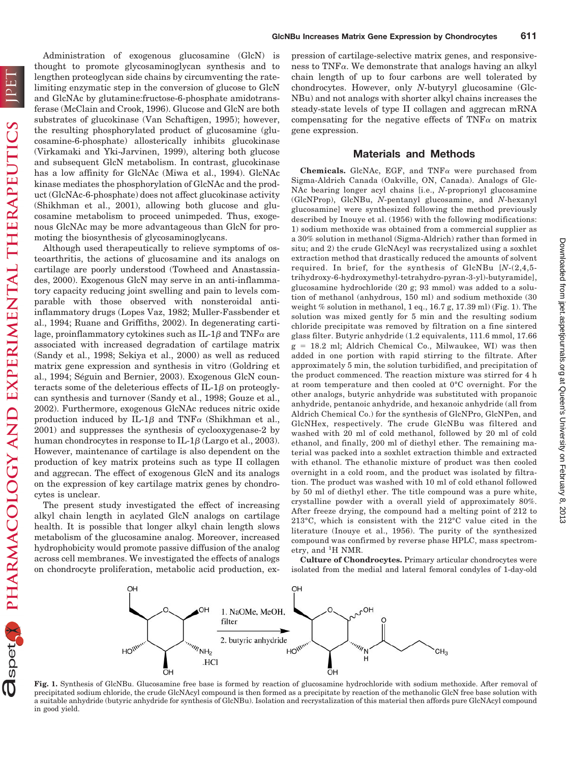PHARMACOLOGY AND EXPERIMENTAL THERAPEUTICS

Ispet

 $\mathbb{O}$ 

Administration of exogenous glucosamine (GlcN) is thought to promote glycosaminoglycan synthesis and to lengthen proteoglycan side chains by circumventing the ratelimiting enzymatic step in the conversion of glucose to GlcN and GlcNAc by glutamine:fructose-6-phosphate amidotransferase (McClain and Crook, 1996). Glucose and GlcN are both substrates of glucokinase (Van Schaftigen, 1995); however, the resulting phosphorylated product of glucosamine (glucosamine-6-phosphate) allosterically inhibits glucokinase (Virkamaki and Yki-Jarvinen, 1999), altering both glucose and subsequent GlcN metabolism. In contrast, glucokinase has a low affinity for GlcNAc (Miwa et al., 1994). GlcNAc kinase mediates the phosphorylation of GlcNAc and the product (GlcNAc-6-phosphate) does not affect glucokinase activity (Shikhman et al., 2001), allowing both glucose and glucosamine metabolism to proceed unimpeded. Thus, exogenous GlcNAc may be more advantageous than GlcN for promoting the biosynthesis of glycosaminoglycans.

Although used therapeutically to relieve symptoms of osteoarthritis, the actions of glucosamine and its analogs on cartilage are poorly understood (Towheed and Anastassiades, 2000). Exogenous GlcN may serve in an anti-inflammatory capacity reducing joint swelling and pain to levels comparable with those observed with nonsteroidal antiinflammatory drugs (Lopes Vaz, 1982; Muller-Fassbender et al., 1994; Ruane and Griffiths, 2002). In degenerating cartilage, proinflammatory cytokines such as IL-1 $\beta$  and TNF $\alpha$  are associated with increased degradation of cartilage matrix (Sandy et al., 1998; Sekiya et al., 2000) as well as reduced matrix gene expression and synthesis in vitro (Goldring et al., 1994; Séguin and Bernier, 2003). Exogenous GlcN counteracts some of the deleterious effects of  $IL-1\beta$  on proteoglycan synthesis and turnover (Sandy et al., 1998; Gouze et al., 2002). Furthermore, exogenous GlcNAc reduces nitric oxide production induced by IL-1 $\beta$  and TNF $\alpha$  (Shikhman et al., 2001) and suppresses the synthesis of cyclooxygenase-2 by human chondrocytes in response to IL-1 $\beta$  (Largo et al., 2003). However, maintenance of cartilage is also dependent on the production of key matrix proteins such as type II collagen and aggrecan. The effect of exogenous GlcN and its analogs on the expression of key cartilage matrix genes by chondrocytes is unclear.

The present study investigated the effect of increasing alkyl chain length in acylated GlcN analogs on cartilage health. It is possible that longer alkyl chain length slows metabolism of the glucosamine analog. Moreover, increased hydrophobicity would promote passive diffusion of the analog across cell membranes. We investigated the effects of analogs on chondrocyte proliferation, metabolic acid production, ex-

**GlcNBu Increases Matrix Gene Expression by Chondrocytes 611**

## **Materials and Methods**

**Chemicals.** GlcNAc, EGF, and  $TNF\alpha$  were purchased from Sigma-Aldrich Canada (Oakville, ON, Canada). Analogs of Glc-NAc bearing longer acyl chains [i.e., *N*-proprionyl glucosamine (GlcNProp), GlcNBu, *N*-pentanyl glucosamine, and *N*-hexanyl glucosamine] were synthesized following the method previously described by Inouye et al. (1956) with the following modifications: 1) sodium methoxide was obtained from a commercial supplier as a 30% solution in methanol (Sigma-Aldrich) rather than formed in situ; and 2) the crude GlcNAcyl was recrystalized using a soxhlet extraction method that drastically reduced the amounts of solvent required. In brief, for the synthesis of GlcNBu [*N*-(2,4,5 trihydroxy-6-hydroxymethyl-tetrahydro-pyran-3-yl)-butyramide], glucosamine hydrochloride (20 g; 93 mmol) was added to a solution of methanol (anhydrous, 150 ml) and sodium methoxide (30 weight % solution in methanol, 1 eq., 16.7 g, 17.39 ml) (Fig. 1). The solution was mixed gently for 5 min and the resulting sodium chloride precipitate was removed by filtration on a fine sintered glass filter. Butyric anhydride (1.2 equivalents, 111.6 mmol, 17.66  $g = 18.2$  ml; Aldrich Chemical Co., Milwaukee, WI) was then added in one portion with rapid stirring to the filtrate. After approximately 5 min, the solution turbidified, and precipitation of the product commenced. The reaction mixture was stirred for 4 h at room temperature and then cooled at 0°C overnight. For the other analogs, butyric anhydride was substituted with propanoic anhydride, pentanoic anhydride, and hexanoic anhydride (all from Aldrich Chemical Co.) for the synthesis of GlcNPro, GlcNPen, and GlcNHex, respectively. The crude GlcNBu was filtered and washed with 20 ml of cold methanol, followed by 20 ml of cold ethanol, and finally, 200 ml of diethyl ether. The remaining material was packed into a soxhlet extraction thimble and extracted with ethanol. The ethanolic mixture of product was then cooled overnight in a cold room, and the product was isolated by filtration. The product was washed with 10 ml of cold ethanol followed by 50 ml of diethyl ether. The title compound was a pure white, crystalline powder with a overall yield of approximately 80%. After freeze drying, the compound had a melting point of 212 to 213°C, which is consistent with the 212°C value cited in the literature (Inouye et al., 1956). The purity of the synthesized compound was confirmed by reverse phase HPLC, mass spectrometry, and <sup>1</sup>H NMR.

**Culture of Chondrocytes.** Primary articular chondrocytes were isolated from the medial and lateral femoral condyles of 1-day-old



**Fig. 1.** Synthesis of GlcNBu. Glucosamine free base is formed by reaction of glucosamine hydrochloride with sodium methoxide. After removal of precipitated sodium chloride, the crude GlcNAcyl compound is then formed as a precipitate by reaction of the methanolic GlcN free base solution with a suitable anhydride (butyric anhydride for synthesis of GlcNBu). Isolation and recrystalization of this material then affords pure GlcNAcyl compound in good yield.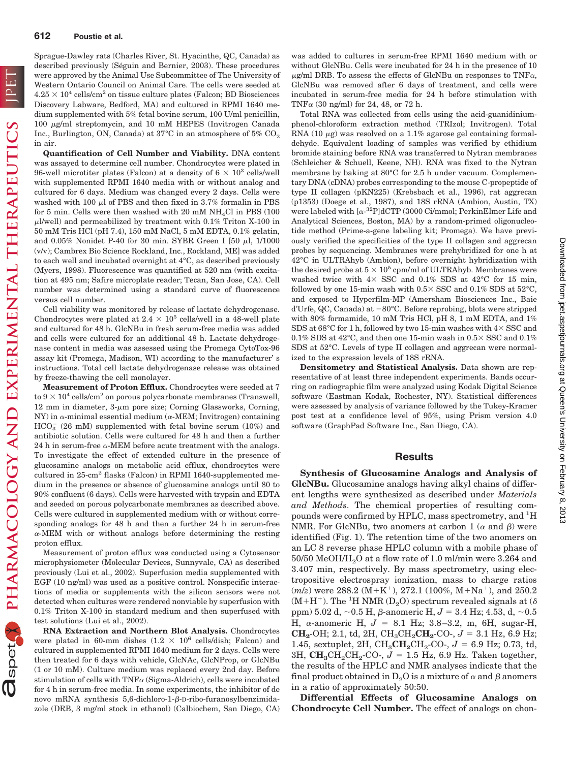PHARMACOLOGY AND EXPERIMENTAL THERAPEUTICS

Sprague-Dawley rats (Charles River, St. Hyacinthe, QC, Canada) as described previously (Séguin and Bernier, 2003). These procedures were approved by the Animal Use Subcommittee of The University of Western Ontario Council on Animal Care. The cells were seeded at  $4.25 \times 10^4$  cells/cm<sup>2</sup> on tissue culture plates (Falcon; BD Biosciences Discovery Labware, Bedford, MA) and cultured in RPMI 1640 medium supplemented with 5% fetal bovine serum, 100 U/ml penicillin,  $100 \mu$ g/ml streptomycin, and  $10 \mu$ M HEPES (Invitrogen Canada Inc., Burlington, ON, Canada) at  $37^{\circ}$ C in an atmosphere of  $5\%$  CO<sub>2</sub> in air.

**Quantification of Cell Number and Viability.** DNA content was assayed to determine cell number. Chondrocytes were plated in 96-well microtiter plates (Falcon) at a density of  $6 \times 10^3$  cells/well with supplemented RPMI 1640 media with or without analog and cultured for 6 days. Medium was changed every 2 days. Cells were washed with 100  $\mu$ l of PBS and then fixed in 3.7% formalin in PBS for 5 min. Cells were then washed with 20 mM  $NH<sub>4</sub>Cl$  in PBS (100)  $\mu$ l/well) and permeabilized by treatment with 0.1% Triton X-100 in 50 mM Tris HCl (pH 7.4), 150 mM NaCl, 5 mM EDTA, 0.1% gelatin, and  $0.05\%$  Nonidet P-40 for 30 min. SYBR Green I [50  $\mu$ l, 1/1000 (v/v); Cambrex Bio Science Rockland, Inc., Rockland, ME] was added to each well and incubated overnight at 4°C, as described previously (Myers, 1998). Fluorescence was quantified at 520 nm (with excitation at 495 nm; Safire microplate reader; Tecan, San Jose, CA). Cell number was determined using a standard curve of fluorescence versus cell number.

Cell viability was monitored by release of lactate dehydrogenase. Chondrocytes were plated at  $2.4 \times 10^5$  cells/well in a 48-well plate and cultured for 48 h. GlcNBu in fresh serum-free media was added and cells were cultured for an additional 48 h. Lactate dehydrogenase content in media was assessed using the Promega CytoTox-96 assay kit (Promega, Madison, WI) according to the manufacturer' s instructions. Total cell lactate dehydrogenase release was obtained by freeze-thawing the cell monolayer.

**Measurement of Proton Efflux.** Chondrocytes were seeded at 7 to  $9 \times 10^4$  cells/cm<sup>2</sup> on porous polycarbonate membranes (Transwell, 12 mm in diameter,  $3-\mu m$  pore size; Corning Glassworks, Corning,  $NY$ ) in  $\alpha$ -minimal essential medium ( $\alpha$ -MEM; Invitrogen) containing  $HCO_3^-$  (26 mM) supplemented with fetal bovine serum (10%) and antibiotic solution. Cells were cultured for 48 h and then a further 24 h in serum-free  $\alpha$ -MEM before acute treatment with the analogs. To investigate the effect of extended culture in the presence of glucosamine analogs on metabolic acid efflux, chondrocytes were cultured in 25-cm<sup>2</sup> flasks (Falcon) in RPMI 1640-supplemented medium in the presence or absence of glucosamine analogs until 80 to 90% confluent (6 days). Cells were harvested with trypsin and EDTA and seeded on porous polycarbonate membranes as described above. Cells were cultured in supplemented medium with or without corresponding analogs for 48 h and then a further 24 h in serum-free  $\alpha$ -MEM with or without analogs before determining the resting proton efflux.

Measurement of proton efflux was conducted using a Cytosensor microphysiometer (Molecular Devices, Sunnyvale, CA) as described previously (Lui et al., 2002). Superfusion media supplemented with EGF (10 ng/ml) was used as a positive control. Nonspecific interactions of media or supplements with the silicon sensors were not detected when cultures were rendered nonviable by superfusion with 0.1% Triton X-100 in standard medium and then superfused with test solutions (Lui et al., 2002).

**RNA Extraction and Northern Blot Analysis.** Chondrocytes were plated in 60-mm dishes  $(1.2 \times 10^6 \text{ cells/dish}; \text{ Falcon})$  and cultured in supplemented RPMI 1640 medium for 2 days. Cells were then treated for 6 days with vehicle, GlcNAc, GlcNProp, or GlcNBu (1 or 10 mM). Culture medium was replaced every 2nd day. Before stimulation of cells with  $TNF\alpha$  (Sigma-Aldrich), cells were incubated for 4 h in serum-free media. In some experiments, the inhibitor of de novo mRNA synthesis  $5,6$ -dichloro-1- $\beta$ -D-ribo-furanosylbenzimidazole (DRB, 3 mg/ml stock in ethanol) (Calbiochem, San Diego, CA) was added to cultures in serum-free RPMI 1640 medium with or without GlcNBu. Cells were incubated for 24 h in the presence of 10  $\mu$ g/ml DRB. To assess the effects of GlcNBu on responses to TNF $\alpha$ , GlcNBu was removed after 6 days of treatment, and cells were incubated in serum-free media for 24 h before stimulation with TNF $\alpha$  (30 ng/ml) for 24, 48, or 72 h.

Total RNA was collected from cells using the acid-guanidiniumphenol-chloroform extraction method (TRIzol; Invitrogen). Total RNA (10  $\mu$ g) was resolved on a 1.1% agarose gel containing formaldehyde. Equivalent loading of samples was verified by ethidium bromide staining before RNA was transferred to Nytran membranes (Schleicher & Schuell, Keene, NH). RNA was fixed to the Nytran membrane by baking at 80°C for 2.5 h under vacuum. Complementary DNA (cDNA) probes corresponding to the mouse C-propeptide of type II collagen (pKN225) (Krebsbach et al., 1996), rat aggrecan (p1353) (Doege et al., 1987), and 18S rRNA (Ambion, Austin, TX) were labeled with  $\left[\alpha^{-32}P\right]$ dCTP (3000 Ci/mmol; PerkinElmer Life and Analytical Sciences, Boston, MA) by a random-primed oligonucleotide method (Prime-a-gene labeling kit; Promega). We have previously verified the specificities of the type II collagen and aggrecan probes by sequencing. Membranes were prehybridized for one h at 42°C in ULTRAhyb (Ambion), before overnight hybridization with the desired probe at  $5 \times 10^5$  cpm/ml of ULTRAhyb. Membranes were washed twice with  $4 \times$  SSC and 0.1% SDS at  $42^{\circ}$ C for 15 min, followed by one 15-min wash with 0.5 $\times$  SSC and 0.1% SDS at 52°C, and exposed to Hyperfilm-MP (Amersham Biosciences Inc., Baie d'Urfe, QC, Canada) at  $-80^{\circ}$ C. Before reprobing, blots were stripped with 80% formamide, 10 mM Tris HCl, pH 8, 1 mM EDTA, and 1% SDS at 68°C for 1 h, followed by two 15-min washes with  $4\times$  SSC and 0.1% SDS at 42°C, and then one 15-min wash in  $0.5 \times$  SSC and 0.1% SDS at 52°C. Levels of type II collagen and aggrecan were normalized to the expression levels of 18S rRNA.

**Densitometry and Statistical Analysis.** Data shown are representative of at least three independent experiments. Bands occurring on radiographic film were analyzed using Kodak Digital Science software (Eastman Kodak, Rochester, NY). Statistical differences were assessed by analysis of variance followed by the Tukey-Kramer post test at a confidence level of 95%, using Prism version 4.0 software (GraphPad Software Inc., San Diego, CA).

## **Results**

**Synthesis of Glucosamine Analogs and Analysis of GlcNBu.** Glucosamine analogs having alkyl chains of different lengths were synthesized as described under *Materials and Methods*. The chemical properties of resulting compounds were confirmed by HPLC, mass spectrometry, and <sup>1</sup>H NMR. For GlcNBu, two anomers at carbon 1 ( $\alpha$  and  $\beta$ ) were identified (Fig. 1). The retention time of the two anomers on an LC 8 reverse phase HPLC column with a mobile phase of 50/50 MeOH/H2O at a flow rate of 1.0 ml/min were 3.264 and 3.407 min, respectively. By mass spectrometry, using electropositive electrospray ionization, mass to charge ratios  $(m/z)$  were 288.2 (M+K<sup>+</sup>), 272.1 (100%, M+Na<sup>+</sup>), and 250.2  $(\mathrm{M}+\mathrm{H}^{+})$  . The  $^{1}\mathrm{H}$  NMR  $(\mathrm{D}_{2}\mathrm{O})$  spectrum revealed signals at  $(\delta)$ ppm)  $5.02$  d,  $\sim$ 0.5 H,  $\beta$ -anomeric H,  $J$  =  $3.4$  Hz;  $4.53$ , d,  $\sim$ 0.5 H,  $\alpha$ -anomeric H,  $J = 8.1$  Hz; 3.8-3.2, m, 6H, sugar-H, **CH<sub>2</sub>**-OH; 2.1, td, 2H, CH<sub>3</sub>CH<sub>2</sub>**CH<sub>2</sub>**-CO-,  $J = 3.1$  Hz, 6.9 Hz; 1.45, sextuplet, 2H,  $CH_3CH_2CH_2CO$ -,  $J = 6.9$  Hz; 0.73, td, 3H,  $\text{CH}_3\text{CH}_2\text{CH}_2\text{-CO}$ ,  $J = 1.5$  Hz, 6.9 Hz. Taken together, the results of the HPLC and NMR analyses indicate that the final product obtained in  $\mathrm{D}_2\mathrm{O}$  is a mixture of  $\alpha$  and  $\beta$  anomers in a ratio of approximately 50:50.

**Differential Effects of Glucosamine Analogs on Chondrocyte Cell Number.** The effect of analogs on chon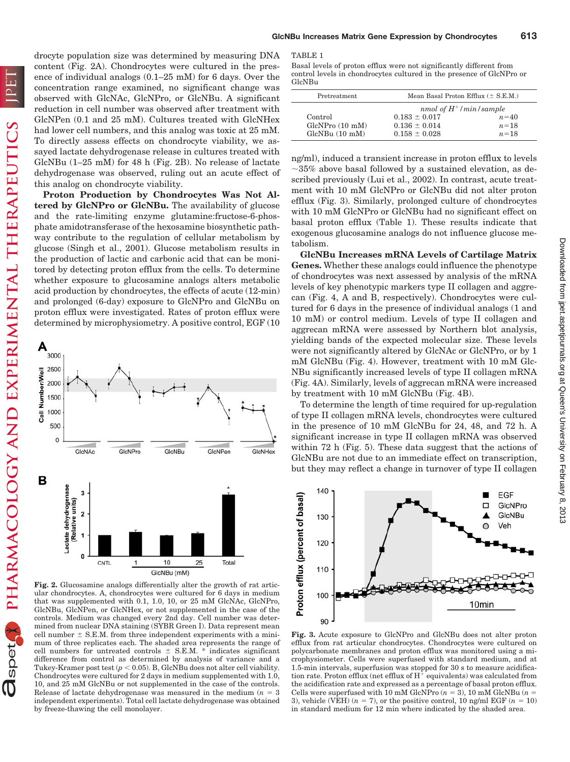PHARMACOLOGY AND EXPERIMENTAL THERAPEUTICS

spet

 $\mathbb{D}$ 

drocyte population size was determined by measuring DNA content (Fig. 2A). Chondrocytes were cultured in the presence of individual analogs (0.1–25 mM) for 6 days. Over the concentration range examined, no significant change was observed with GlcNAc, GlcNPro, or GlcNBu. A significant reduction in cell number was observed after treatment with GlcNPen (0.1 and 25 mM). Cultures treated with GlcNHex had lower cell numbers, and this analog was toxic at 25 mM. To directly assess effects on chondrocyte viability, we assayed lactate dehydrogenase release in cultures treated with GlcNBu (1–25 mM) for 48 h (Fig. 2B). No release of lactate dehydrogenase was observed, ruling out an acute effect of this analog on chondrocyte viability.

**Proton Production by Chondrocytes Was Not Altered by GlcNPro or GlcNBu.** The availability of glucose and the rate-limiting enzyme glutamine:fructose-6-phosphate amidotransferase of the hexosamine biosynthetic pathway contribute to the regulation of cellular metabolism by glucose (Singh et al., 2001). Glucose metabolism results in the production of lactic and carbonic acid that can be monitored by detecting proton efflux from the cells. To determine whether exposure to glucosamine analogs alters metabolic acid production by chondrocytes, the effects of acute (12-min) and prolonged (6-day) exposure to GlcNPro and GlcNBu on proton efflux were investigated. Rates of proton efflux were determined by microphysiometry. A positive control, EGF (10



**Fig. 2.** Glucosamine analogs differentially alter the growth of rat articular chondrocytes. A, chondrocytes were cultured for 6 days in medium that was supplemented with 0.1, 1.0, 10, or 25 mM GlcNAc, GlcNPro, GlcNBu, GlcNPen, or GlcNHex, or not supplemented in the case of the controls. Medium was changed every 2nd day. Cell number was determined from nuclear DNA staining (SYBR Green I). Data represent mean cell number  $\pm$  S.E.M. from three independent experiments with a minimum of three replicates each. The shaded area represents the range of cell numbers for untreated controls  $\pm$  S.E.M. \* indicates significant difference from control as determined by analysis of variance and a Tukey-Kramer post test  $(p < 0.05)$ . B, GlcNBu does not alter cell viability. Chondrocytes were cultured for 2 days in medium supplemented with 1.0, 10, and 25 mM GlcNBu or not supplemented in the case of the controls. Release of lactate dehydrogenase was measured in the medium  $(n = 3)$ independent experiments). Total cell lactate dehydrogenase was obtained by freeze-thawing the cell monolayer.

Basal levels of proton efflux were not significantly different from control levels in chondrocytes cultured in the presence of GlcNPro or GlcNBu

| Pretreatment                                           | Mean Basal Proton Efflux $(\pm$ S.E.M.)                                                        |                              |
|--------------------------------------------------------|------------------------------------------------------------------------------------------------|------------------------------|
| Control<br>GlcNPro(10 <sub>m</sub> M)<br>GlcNBu(10 mM) | nmol of $H^+/\text{min/sample}$<br>$0.183 \pm 0.017$<br>$0.136 \pm 0.014$<br>$0.158 \pm 0.028$ | $n = 40$<br>$n=18$<br>$n=18$ |

ng/ml), induced a transient increase in proton efflux to levels  $\sim$ 35% above basal followed by a sustained elevation, as described previously (Lui et al., 2002). In contrast, acute treatment with 10 mM GlcNPro or GlcNBu did not alter proton efflux (Fig. 3). Similarly, prolonged culture of chondrocytes with 10 mM GlcNPro or GlcNBu had no significant effect on basal proton efflux (Table 1). These results indicate that exogenous glucosamine analogs do not influence glucose metabolism.

**GlcNBu Increases mRNA Levels of Cartilage Matrix Genes.** Whether these analogs could influence the phenotype of chondrocytes was next assessed by analysis of the mRNA levels of key phenotypic markers type II collagen and aggrecan (Fig. 4, A and B, respectively). Chondrocytes were cultured for 6 days in the presence of individual analogs (1 and 10 mM) or control medium. Levels of type II collagen and aggrecan mRNA were assessed by Northern blot analysis, yielding bands of the expected molecular size. These levels were not significantly altered by GlcNAc or GlcNPro, or by 1 mM GlcNBu (Fig. 4). However, treatment with 10 mM Glc-NBu significantly increased levels of type II collagen mRNA (Fig. 4A). Similarly, levels of aggrecan mRNA were increased by treatment with 10 mM GlcNBu (Fig. 4B).

To determine the length of time required for up-regulation of type II collagen mRNA levels, chondrocytes were cultured in the presence of 10 mM GlcNBu for 24, 48, and 72 h. A significant increase in type II collagen mRNA was observed within 72 h (Fig. 5). These data suggest that the actions of GlcNBu are not due to an immediate effect on transcription, but they may reflect a change in turnover of type II collagen



**Fig. 3.** Acute exposure to GlcNPro and GlcNBu does not alter proton efflux from rat articular chondrocytes. Chondrocytes were cultured on polycarbonate membranes and proton efflux was monitored using a microphysiometer. Cells were superfused with standard medium, and at 1.5-min intervals, superfusion was stopped for 30 s to measure acidification rate. Proton efflux (net efflux of  $H^+$  equivalents) was calculated from the acidification rate and expressed as a percentage of basal proton efflux. Cells were superfused with 10 mM GlcNPro  $(n = 3)$ , 10 mM GlcNBu  $(n = 1)$ 3), vehicle (VEH)  $(n = 7)$ , or the positive control, 10 ng/ml EGF  $(n = 10)$ in standard medium for 12 min where indicated by the shaded area.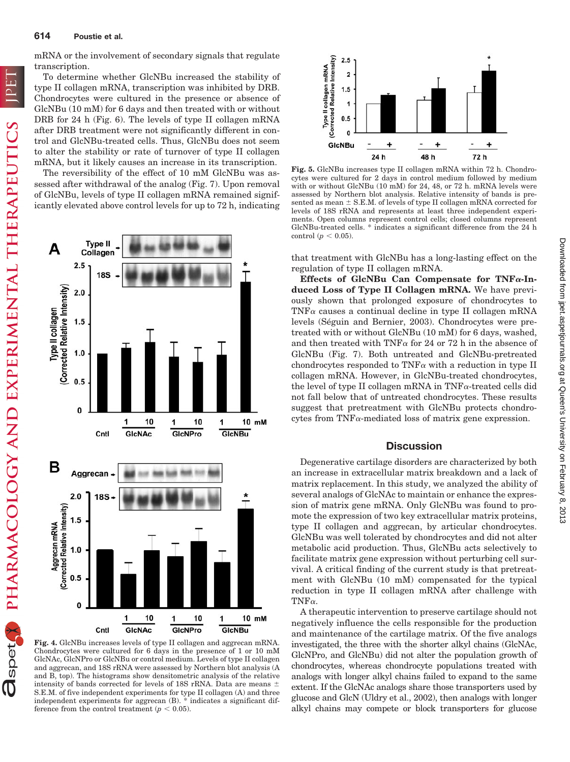mRNA or the involvement of secondary signals that regulate transcription.

To determine whether GlcNBu increased the stability of type II collagen mRNA, transcription was inhibited by DRB. Chondrocytes were cultured in the presence or absence of GlcNBu (10 mM) for 6 days and then treated with or without DRB for 24 h (Fig. 6). The levels of type II collagen mRNA after DRB treatment were not significantly different in control and GlcNBu-treated cells. Thus, GlcNBu does not seem to alter the stability or rate of turnover of type II collagen mRNA, but it likely causes an increase in its transcription.

The reversibility of the effect of 10 mM GlcNBu was assessed after withdrawal of the analog (Fig. 7). Upon removal of GlcNBu, levels of type II collagen mRNA remained significantly elevated above control levels for up to 72 h, indicating



**Fig. 4.** GlcNBu increases levels of type II collagen and aggrecan mRNA. Chondrocytes were cultured for 6 days in the presence of 1 or 10 mM GlcNAc, GlcNPro or GlcNBu or control medium. Levels of type II collagen and aggrecan, and 18S rRNA were assessed by Northern blot analysis (A and B, top). The histograms show densitometric analysis of the relative intensity of bands corrected for levels of 18S rRNA. Data are means  $\pm$ S.E.M. of five independent experiments for type II collagen (A) and three independent experiments for aggrecan (B). \* indicates a significant difference from the control treatment  $(p < 0.05)$ .



**Fig. 5.** GlcNBu increases type II collagen mRNA within 72 h. Chondrocytes were cultured for 2 days in control medium followed by medium with or without GlcNBu (10 mM) for 24, 48, or 72 h. mRNA levels were assessed by Northern blot analysis. Relative intensity of bands is presented as mean  $\pm$  S.E.M. of levels of type II collagen mRNA corrected for levels of 18S rRNA and represents at least three independent experiments. Open columns represent control cells; closed columns represent GlcNBu-treated cells. \* indicates a significant difference from the 24 h control ( $p < 0.05$ ).

that treatment with GlcNBu has a long-lasting effect on the regulation of type II collagen mRNA.

Effects of GlcNBu Can Compensate for TNF<sub>a-In-</sub> **duced Loss of Type II Collagen mRNA.** We have previously shown that prolonged exposure of chondrocytes to  $TNF\alpha$  causes a continual decline in type II collagen mRNA levels (Séguin and Bernier, 2003). Chondrocytes were pretreated with or without GlcNBu (10 mM) for 6 days, washed, and then treated with TNF $\alpha$  for 24 or 72 h in the absence of GlcNBu (Fig. 7). Both untreated and GlcNBu-pretreated chondrocytes responded to  $TNF\alpha$  with a reduction in type II collagen mRNA. However, in GlcNBu-treated chondrocytes, the level of type II collagen mRNA in  $TNF\alpha$ -treated cells did not fall below that of untreated chondrocytes. These results suggest that pretreatment with GlcNBu protects chondrocytes from  $TNF_{\alpha}$ -mediated loss of matrix gene expression.

#### **Discussion**

Degenerative cartilage disorders are characterized by both an increase in extracellular matrix breakdown and a lack of matrix replacement. In this study, we analyzed the ability of several analogs of GlcNAc to maintain or enhance the expression of matrix gene mRNA. Only GlcNBu was found to promote the expression of two key extracellular matrix proteins, type II collagen and aggrecan, by articular chondrocytes. GlcNBu was well tolerated by chondrocytes and did not alter metabolic acid production. Thus, GlcNBu acts selectively to facilitate matrix gene expression without perturbing cell survival. A critical finding of the current study is that pretreatment with GlcNBu (10 mM) compensated for the typical reduction in type II collagen mRNA after challenge with TNF $\alpha$ .

A therapeutic intervention to preserve cartilage should not negatively influence the cells responsible for the production and maintenance of the cartilage matrix. Of the five analogs investigated, the three with the shorter alkyl chains (GlcNAc, GlcNPro, and GlcNBu) did not alter the population growth of chondrocytes, whereas chondrocyte populations treated with analogs with longer alkyl chains failed to expand to the same extent. If the GlcNAc analogs share those transporters used by glucose and GlcN (Uldry et al., 2002), then analogs with longer alkyl chains may compete or block transporters for glucose

spet

 $\mathbb{D}$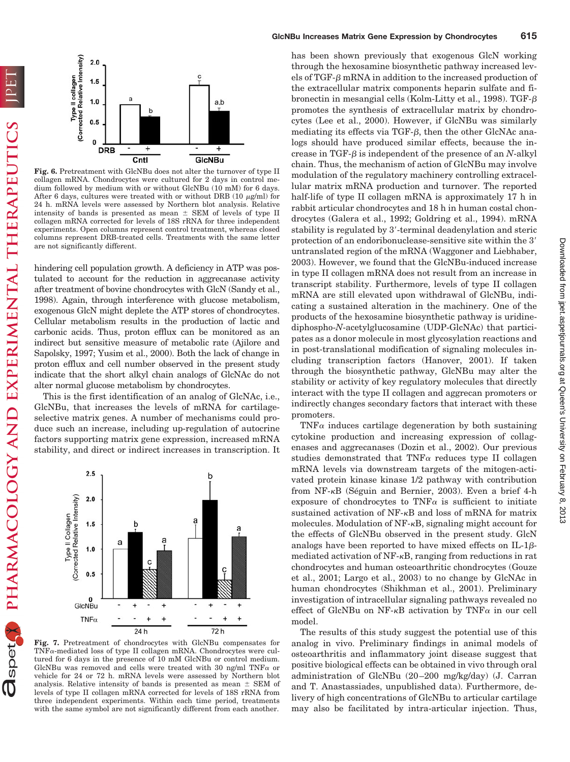

**Fig. 6.** Pretreatment with GlcNBu does not alter the turnover of type II collagen mRNA. Chondrocytes were cultured for 2 days in control medium followed by medium with or without GlcNBu (10 mM) for 6 days. After 6 days, cultures were treated with or without DRB (10  $\mu$ g/ml) for 24 h. mRNA levels were assessed by Northern blot analysis. Relative intensity of bands is presented as mean  $\pm$  SEM of levels of type II collagen mRNA corrected for levels of 18S rRNA for three independent experiments. Open columns represent control treatment, whereas closed columns represent DRB-treated cells. Treatments with the same letter are not significantly different.

hindering cell population growth. A deficiency in ATP was postulated to account for the reduction in aggrecanase activity after treatment of bovine chondrocytes with GlcN (Sandy et al., 1998). Again, through interference with glucose metabolism, exogenous GlcN might deplete the ATP stores of chondrocytes. Cellular metabolism results in the production of lactic and carbonic acids. Thus, proton efflux can be monitored as an indirect but sensitive measure of metabolic rate (Ajilore and Sapolsky, 1997; Yusim et al., 2000). Both the lack of change in proton efflux and cell number observed in the present study indicate that the short alkyl chain analogs of GlcNAc do not alter normal glucose metabolism by chondrocytes.

This is the first identification of an analog of GlcNAc, i.e., GlcNBu, that increases the levels of mRNA for cartilageselective matrix genes. A number of mechanisms could produce such an increase, including up-regulation of autocrine factors supporting matrix gene expression, increased mRNA stability, and direct or indirect increases in transcription. It



**Fig. 7.** Pretreatment of chondrocytes with GlcNBu compensates for  $TNF_{\alpha}\text{-mediated loss of type II collagen mRNA. Chondrocytes were cul$ tured for 6 days in the presence of 10 mM GlcNBu or control medium. GlcNBu was removed and cells were treated with 30 ng/ml TNF $\alpha$  or vehicle for 24 or 72 h. mRNA levels were assessed by Northern blot analysis. Relative intensity of bands is presented as mean  $\pm$  SEM of levels of type II collagen mRNA corrected for levels of 18S rRNA from three independent experiments. Within each time period, treatments with the same symbol are not significantly different from each another.

has been shown previously that exogenous GlcN working through the hexosamine biosynthetic pathway increased levels of TGF- $\beta$  mRNA in addition to the increased production of the extracellular matrix components heparin sulfate and fibronectin in mesangial cells (Kolm-Litty et al., 1998). TGF- $\beta$ promotes the synthesis of extracellular matrix by chondrocytes (Lee et al., 2000). However, if GlcNBu was similarly mediating its effects via TGF- $\beta$ , then the other GlcNAc analogs should have produced similar effects, because the increase in TGF- $\beta$  is independent of the presence of an *N*-alkyl chain. Thus, the mechanism of action of GlcNBu may involve modulation of the regulatory machinery controlling extracellular matrix mRNA production and turnover. The reported half-life of type II collagen mRNA is approximately 17 h in rabbit articular chondrocytes and 18 h in human costal chondrocytes (Galera et al., 1992; Goldring et al., 1994). mRNA stability is regulated by 3-terminal deadenylation and steric protection of an endoribonuclease-sensitive site within the 3 untranslated region of the mRNA (Waggoner and Liebhaber, 2003). However, we found that the GlcNBu-induced increase in type II collagen mRNA does not result from an increase in transcript stability. Furthermore, levels of type II collagen mRNA are still elevated upon withdrawal of GlcNBu, indicating a sustained alteration in the machinery. One of the products of the hexosamine biosynthetic pathway is uridinediphospho-*N*-acetylglucosamine (UDP-GlcNAc) that participates as a donor molecule in most glycosylation reactions and in post-translational modification of signaling molecules including transcription factors (Hanover, 2001). If taken through the biosynthetic pathway, GlcNBu may alter the stability or activity of key regulatory molecules that directly interact with the type II collagen and aggrecan promoters or indirectly changes secondary factors that interact with these promoters.

TNF $\alpha$  induces cartilage degeneration by both sustaining cytokine production and increasing expression of collagenases and aggrecanases (Dozin et al., 2002). Our previous studies demonstrated that TNF $\alpha$  reduces type II collagen mRNA levels via downstream targets of the mitogen-activated protein kinase kinase 1/2 pathway with contribution from NF- $\kappa$ B (Séguin and Bernier, 2003). Even a brief 4-h exposure of chondrocytes to TNF $\alpha$  is sufficient to initiate sustained activation of  $NF-\kappa B$  and loss of mRNA for matrix molecules. Modulation of  $NF - \kappa B$ , signaling might account for the effects of GlcNBu observed in the present study. GlcN analogs have been reported to have mixed effects on  $IL-1\beta$ mediated activation of  $NF-<sub>K</sub>B$ , ranging from reductions in rat chondrocytes and human osteoarthritic chondrocytes (Gouze et al., 2001; Largo et al., 2003) to no change by GlcNAc in human chondrocytes (Shikhman et al., 2001). Preliminary investigation of intracellular signaling pathways revealed no effect of GlcNBu on NF- $\kappa$ B activation by TNF $\alpha$  in our cell model.

The results of this study suggest the potential use of this analog in vivo. Preliminary findings in animal models of osteoarthritis and inflammatory joint disease suggest that positive biological effects can be obtained in vivo through oral administration of GlcNBu (20 –200 mg/kg/day) (J. Carran and T. Anastassiades, unpublished data). Furthermore, delivery of high concentrations of GlcNBu to articular cartilage may also be facilitated by intra-articular injection. Thus,